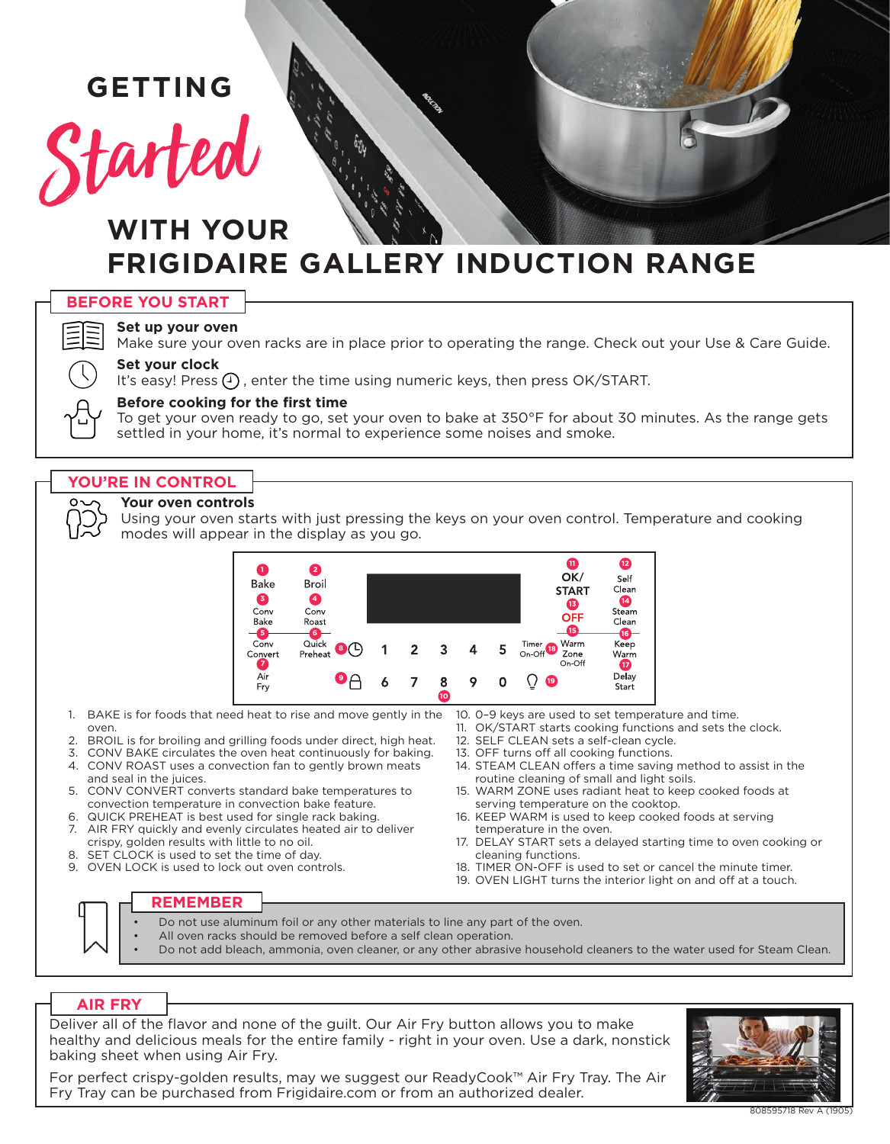# **GETTING**

# tarted

# **WITH YOUR FRIGIDAIRE GALLERY INDUCTION RANGE**

|  | <b>JRE YOU START</b> |
|--|----------------------|
|  |                      |



# **Set up your oven**

Make sure your oven racks are in place prior to operating the range. Check out your Use & Care Guide.

# **Set your clock**

It's easy! Press  $(4)$ , enter the time using numeric keys, then press OK/START.

# **Before cooking for the first time**

To get your oven ready to go, set your oven to bake at 350°F for about 30 minutes. As the range gets settled in your home, it's normal to experience some noises and smoke.

# **YOU'RE IN CONTROL**

#### **Your oven controls**

Using your oven starts with just pressing the keys on your oven control. Temperature and cooking modes will appear in the display as you go.



- 1. BAKE is for foods that need heat to rise and move gently in the oven.
- 2. BROIL is for broiling and grilling foods under direct, high heat.
- 3. CONV BAKE circulates the oven heat continuously for baking. 4. CONV ROAST uses a convection fan to gently brown meats
- and seal in the juices.
- 5. CONV CONVERT converts standard bake temperatures to convection temperature in convection bake feature.
- 6. QUICK PREHEAT is best used for single rack baking. 7. AIR FRY quickly and evenly circulates heated air to deliver crispy, golden results with little to no oil.
- 8. SET CLOCK is used to set the time of day.
- 9. OVEN LOCK is used to lock out oven controls.

13. OFF turns off all cooking functions.

12. SELF CLEAN sets a self-clean cycle.

- 14. STEAM CLEAN offers a time saving method to assist in the routine cleaning of small and light soils.
- 15. WARM ZONE uses radiant heat to keep cooked foods at serving temperature on the cooktop.

11. OK/START starts cooking functions and sets the clock.

- 16. KEEP WARM is used to keep cooked foods at serving temperature in the oven.
- 17. DELAY START sets a delayed starting time to oven cooking or cleaning functions.
- 18. TIMER ON-OFF is used to set or cancel the minute timer.
- 19. OVEN LIGHT turns the interior light on and off at a touch.

# **REMEMBER**

- Do not use aluminum foil or any other materials to line any part of the oven.
- All oven racks should be removed before a self clean operation.
- Do not add bleach, ammonia, oven cleaner, or any other abrasive household cleaners to the water used for Steam Clean.

# **AIR FRY**

Deliver all of the flavor and none of the guilt. Our Air Fry button allows you to make healthy and delicious meals for the entire family - right in your oven. Use a dark, nonstick baking sheet when using Air Fry.

For perfect crispy-golden results, may we suggest our ReadyCook™ Air Fry Tray. The Air Fry Tray can be purchased from Frigidaire.com or from an authorized dealer.